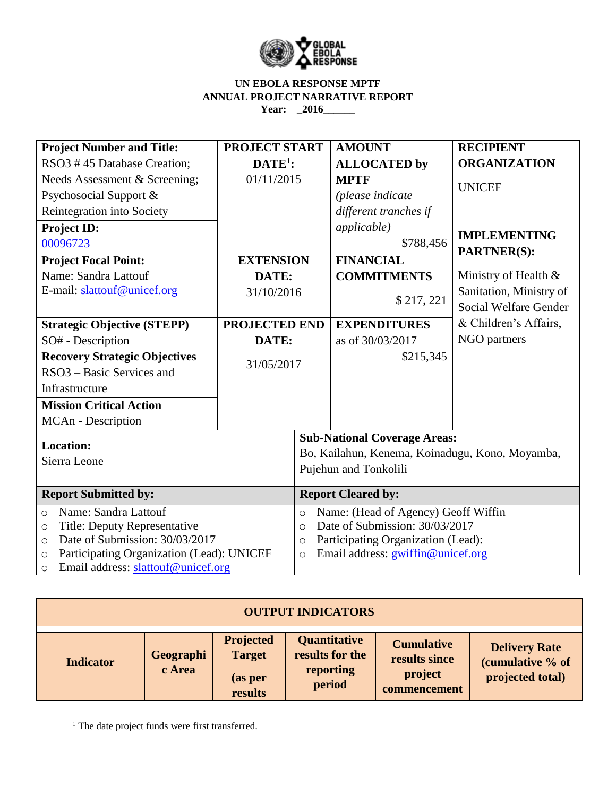

| <b>Project Number and Title:</b>                     | <b>PROJECT START</b> |                                                 | <b>AMOUNT</b>                     | <b>RECIPIENT</b>        |  |  |
|------------------------------------------------------|----------------------|-------------------------------------------------|-----------------------------------|-------------------------|--|--|
| RSO3 #45 Database Creation;                          | $DATE1$ :            |                                                 | <b>ALLOCATED by</b>               | <b>ORGANIZATION</b>     |  |  |
| Needs Assessment & Screening;                        | 01/11/2015           |                                                 | <b>MPTF</b>                       | <b>UNICEF</b>           |  |  |
| Psychosocial Support &                               |                      |                                                 | (please indicate                  |                         |  |  |
| Reintegration into Society                           |                      |                                                 | different tranches if             |                         |  |  |
| <b>Project ID:</b>                                   |                      |                                                 | <i>applicable</i> )               | <b>IMPLEMENTING</b>     |  |  |
| 00096723                                             |                      |                                                 | \$788,456                         | <b>PARTNER(S):</b>      |  |  |
| <b>Project Focal Point:</b>                          | <b>EXTENSION</b>     |                                                 | <b>FINANCIAL</b>                  |                         |  |  |
| Name: Sandra Lattouf                                 | DATE:                |                                                 | <b>COMMITMENTS</b>                | Ministry of Health &    |  |  |
| E-mail: slattouf@unicef.org                          | 31/10/2016           |                                                 | \$217,221                         | Sanitation, Ministry of |  |  |
|                                                      |                      |                                                 |                                   | Social Welfare Gender   |  |  |
| <b>Strategic Objective (STEPP)</b>                   | <b>PROJECTED END</b> |                                                 | <b>EXPENDITURES</b>               | & Children's Affairs,   |  |  |
| SO# - Description                                    | DATE:                |                                                 | as of 30/03/2017                  | NGO partners            |  |  |
| <b>Recovery Strategic Objectives</b>                 |                      |                                                 | \$215,345                         |                         |  |  |
| RSO3 – Basic Services and                            | 31/05/2017           |                                                 |                                   |                         |  |  |
| Infrastructure                                       |                      |                                                 |                                   |                         |  |  |
| <b>Mission Critical Action</b>                       |                      |                                                 |                                   |                         |  |  |
| MCAn - Description                                   |                      |                                                 |                                   |                         |  |  |
| <b>Location:</b>                                     |                      | <b>Sub-National Coverage Areas:</b>             |                                   |                         |  |  |
| Sierra Leone                                         |                      | Bo, Kailahun, Kenema, Koinadugu, Kono, Moyamba, |                                   |                         |  |  |
|                                                      |                      | Pujehun and Tonkolili                           |                                   |                         |  |  |
| <b>Report Submitted by:</b>                          |                      | <b>Report Cleared by:</b>                       |                                   |                         |  |  |
| Name: Sandra Lattouf<br>$\circ$                      |                      | Name: (Head of Agency) Geoff Wiffin<br>$\circ$  |                                   |                         |  |  |
| Title: Deputy Representative<br>$\circ$              |                      | Date of Submission: 30/03/2017<br>$\circ$       |                                   |                         |  |  |
| Date of Submission: 30/03/2017<br>$\circ$            |                      | Participating Organization (Lead):<br>$\circ$   |                                   |                         |  |  |
| Participating Organization (Lead): UNICEF<br>$\circ$ |                      | $\circ$                                         | Email address: gwiffin@unicef.org |                         |  |  |
| Email address: slattouf@unicef.org<br>$\circ$        |                      |                                                 |                                   |                         |  |  |

| <b>OUTPUT INDICATORS</b> |                     |                                                         |                                                        |                                                               |                                                              |
|--------------------------|---------------------|---------------------------------------------------------|--------------------------------------------------------|---------------------------------------------------------------|--------------------------------------------------------------|
| <b>Indicator</b>         | Geographi<br>c Area | <b>Projected</b><br><b>Target</b><br>(as per<br>results | Quantitative<br>results for the<br>reporting<br>period | <b>Cumulative</b><br>results since<br>project<br>commencement | <b>Delivery Rate</b><br>(cumulative % of<br>projected total) |

<sup>1</sup> The date project funds were first transferred.

 $\overline{\phantom{a}}$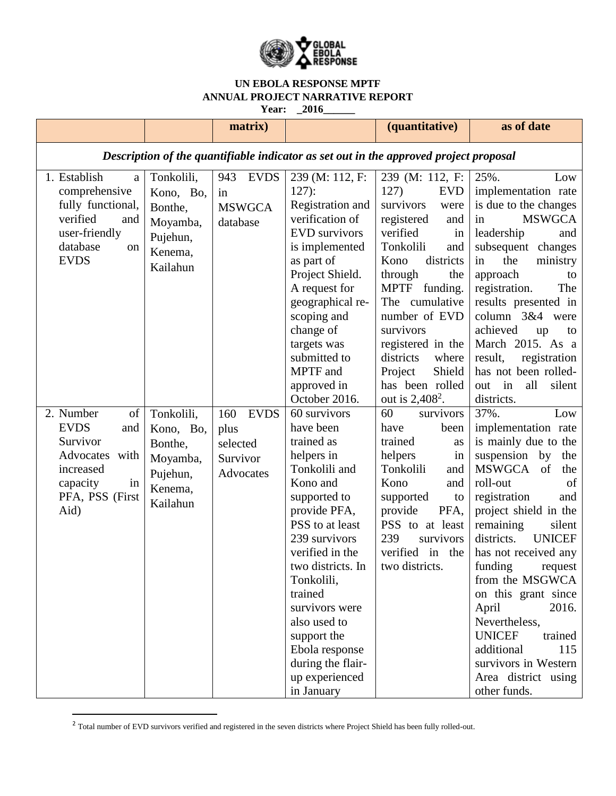

|                                                                                                                               |                                                                                   | matrix)                                                         |                                                                                                                                                                                                                                                                                                                                                 | (quantitative)                                                                                                                                                                                                                                                                                                                                      | as of date                                                                                                                                                                                                                                                                                                                                                                                                                                                                      |  |
|-------------------------------------------------------------------------------------------------------------------------------|-----------------------------------------------------------------------------------|-----------------------------------------------------------------|-------------------------------------------------------------------------------------------------------------------------------------------------------------------------------------------------------------------------------------------------------------------------------------------------------------------------------------------------|-----------------------------------------------------------------------------------------------------------------------------------------------------------------------------------------------------------------------------------------------------------------------------------------------------------------------------------------------------|---------------------------------------------------------------------------------------------------------------------------------------------------------------------------------------------------------------------------------------------------------------------------------------------------------------------------------------------------------------------------------------------------------------------------------------------------------------------------------|--|
| Description of the quantifiable indicator as set out in the approved project proposal                                         |                                                                                   |                                                                 |                                                                                                                                                                                                                                                                                                                                                 |                                                                                                                                                                                                                                                                                                                                                     |                                                                                                                                                                                                                                                                                                                                                                                                                                                                                 |  |
| 1. Establish<br>a<br>comprehensive<br>fully functional,<br>verified<br>and<br>user-friendly<br>database<br>on<br><b>EVDS</b>  | Tonkolili,<br>Kono, Bo,<br>Bonthe,<br>Moyamba,<br>Pujehun,<br>Kenema.<br>Kailahun | 943<br><b>EVDS</b><br>in<br><b>MSWGCA</b><br>database           | 239 (M: 112, F:<br>$127$ :<br>Registration and<br>verification of<br><b>EVD</b> survivors<br>is implemented<br>as part of<br>Project Shield.<br>A request for<br>geographical re-<br>scoping and<br>change of<br>targets was<br>submitted to<br>MPTF and<br>approved in<br>October 2016.                                                        | 239 (M: 112, F:<br>127)<br><b>EVD</b><br>survivors<br>were<br>registered<br>and<br>verified<br>in<br>Tonkolili<br>and<br>districts<br>Kono<br>through<br>the<br><b>MPTF</b><br>funding.<br>The<br>cumulative<br>number of EVD<br>survivors<br>registered in the<br>districts<br>where<br>Project<br>Shield<br>has been rolled<br>out is $2,408^2$ . | 25%.<br>Low<br>implementation rate<br>is due to the changes<br><b>MSWGCA</b><br>in<br>leadership<br>and<br>subsequent changes<br>in<br>the<br>ministry<br>approach<br>to<br>registration.<br>The<br>results presented in<br>column 3&4 were<br>achieved<br>up<br>to<br>March 2015. As a<br>result,<br>registration<br>has not been rolled-<br>all<br>silent<br>in<br>out<br>districts.                                                                                          |  |
| 2. Number<br>of<br><b>EVDS</b><br>and<br>Survivor<br>Advocates with<br>increased<br>capacity<br>in<br>PFA, PSS (First<br>Aid) | Tonkolili,<br>Kono, Bo,<br>Bonthe,<br>Moyamba,<br>Pujehun,<br>Kenema,<br>Kailahun | 160<br><b>EVDS</b><br>plus<br>selected<br>Survivor<br>Advocates | 60 survivors<br>have been<br>trained as<br>helpers in<br>Tonkolili and<br>Kono and<br>supported to<br>provide PFA,<br>PSS to at least<br>239 survivors<br>verified in the<br>two districts. In<br>Tonkolili,<br>trained<br>survivors were<br>also used to<br>support the<br>Ebola response<br>during the flair-<br>up experienced<br>in January | 60<br>survivors<br>have<br>been<br>trained<br>as<br>helpers<br>in<br>Tonkolili<br>and<br>Kono<br>and<br>supported<br>to<br>provide<br>PFA,<br>PSS to at least<br>239<br>survivors<br>verified in<br>the<br>two districts.                                                                                                                           | 37%.<br>Low<br>implementation rate<br>is mainly due to the<br>suspension<br>by<br>the<br>MSWGCA<br>of<br>the<br>roll-out<br>of<br>registration<br>and<br>project shield in the<br>remaining<br>silent<br>districts.<br><b>UNICEF</b><br>has not received any<br>funding<br>request<br>from the MSGWCA<br>on this grant since<br>April<br>2016.<br>Nevertheless,<br><b>UNICEF</b><br>trained<br>additional<br>115<br>survivors in Western<br>Area district using<br>other funds. |  |

 $^2$  Total number of EVD survivors verified and registered in the seven districts where Project Shield has been fully rolled-out.

 $\overline{\phantom{a}}$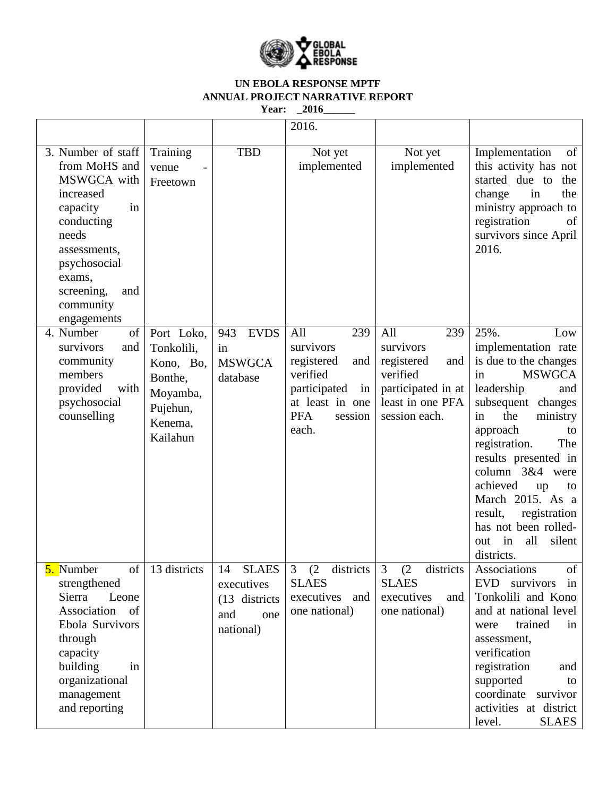

|                                                                                                                                                                                                     |                                                                                                 |                                                                               | 2016.                                                                                                                               |                                                                                                                     |                                                                                                                                                                                                                                                                                                                                                                                        |
|-----------------------------------------------------------------------------------------------------------------------------------------------------------------------------------------------------|-------------------------------------------------------------------------------------------------|-------------------------------------------------------------------------------|-------------------------------------------------------------------------------------------------------------------------------------|---------------------------------------------------------------------------------------------------------------------|----------------------------------------------------------------------------------------------------------------------------------------------------------------------------------------------------------------------------------------------------------------------------------------------------------------------------------------------------------------------------------------|
| 3. Number of staff<br>from MoHS and<br>MSWGCA with<br>increased<br>capacity<br>in<br>conducting<br>needs<br>assessments,<br>psychosocial<br>exams,<br>screening,<br>and<br>community<br>engagements | Training<br>venue<br>Freetown                                                                   | <b>TBD</b>                                                                    | Not yet<br>implemented                                                                                                              | Not yet<br>implemented                                                                                              | Implementation<br>of<br>this activity has not<br>started due to<br>the<br>change<br>the<br>in<br>ministry approach to<br>registration<br>of<br>survivors since April<br>2016.                                                                                                                                                                                                          |
| 4. Number<br>$\sigma$<br>survivors<br>and<br>community<br>members<br>provided<br>with<br>psychosocial<br>counselling                                                                                | Port Loko,<br>Tonkolili,<br>Kono, Bo,<br>Bonthe,<br>Moyamba,<br>Pujehun,<br>Kenema,<br>Kailahun | 943<br><b>EVDS</b><br>in<br><b>MSWGCA</b><br>database                         | All<br>239<br>survivors<br>registered<br>and<br>verified<br>participated<br>in<br>at least in one<br><b>PFA</b><br>session<br>each. | 239<br>All<br>survivors<br>registered<br>and<br>verified<br>participated in at<br>least in one PFA<br>session each. | 25%.<br>Low<br>implementation rate<br>is due to the changes<br><b>MSWGCA</b><br>in<br>leadership<br>and<br>subsequent changes<br>the<br>ministry<br>in<br>approach<br>to<br>registration.<br>The<br>results presented in<br>column 3&4 were<br>achieved<br>up<br>to<br>March 2015. As a<br>result,<br>registration<br>has not been rolled-<br>all<br>silent<br>in<br>out<br>districts. |
| of<br>5. Number<br>strengthened<br>Sierra<br>Leone<br>Association of<br>Ebola Survivors<br>through<br>capacity<br>building<br>in<br>organizational<br>management<br>and reporting                   | 13 districts                                                                                    | <b>SLAES</b><br>14<br>executives<br>(13 districts)<br>one<br>and<br>national) | 3 (2 districts<br><b>SLAES</b><br>executives<br>and<br>one national)                                                                | 3 (2 districts<br><b>SLAES</b><br>executives<br>and<br>one national)                                                | Associations<br>of<br><b>EVD</b><br>survivors<br>in<br>Tonkolili and Kono<br>and at national level<br>trained<br>in<br>were<br>assessment,<br>verification<br>registration<br>and<br>supported<br>to<br>coordinate survivor<br>activities at district<br><b>SLAES</b><br>level.                                                                                                        |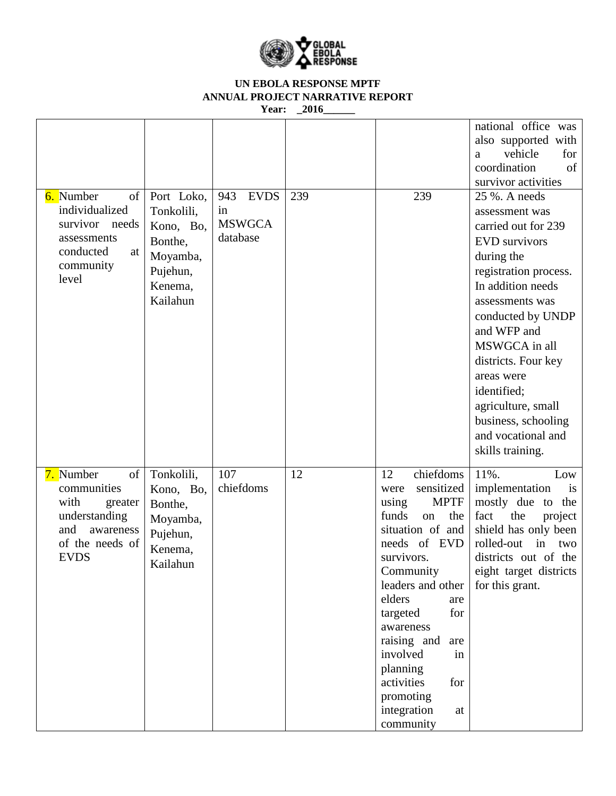

| 6. Number<br>of                                                                                                          | Port Loko,                                                                        | 943<br><b>EVDS</b>              | 239 | 239                                                                                                                                                                                                                                                                                                                                              | national office was<br>also supported with<br>vehicle<br>for<br>a<br>coordination<br>of<br>survivor activities<br>25 %. A needs                                                                                                                                                                                                              |
|--------------------------------------------------------------------------------------------------------------------------|-----------------------------------------------------------------------------------|---------------------------------|-----|--------------------------------------------------------------------------------------------------------------------------------------------------------------------------------------------------------------------------------------------------------------------------------------------------------------------------------------------------|----------------------------------------------------------------------------------------------------------------------------------------------------------------------------------------------------------------------------------------------------------------------------------------------------------------------------------------------|
| individualized<br>survivor needs<br>assessments<br>conducted<br>at<br>community<br>level                                 | Tonkolili,<br>Kono, Bo,<br>Bonthe,<br>Moyamba,<br>Pujehun,<br>Kenema,<br>Kailahun | in<br><b>MSWGCA</b><br>database |     |                                                                                                                                                                                                                                                                                                                                                  | assessment was<br>carried out for 239<br><b>EVD</b> survivors<br>during the<br>registration process.<br>In addition needs<br>assessments was<br>conducted by UNDP<br>and WFP and<br>MSWGCA in all<br>districts. Four key<br>areas were<br>identified;<br>agriculture, small<br>business, schooling<br>and vocational and<br>skills training. |
| 7. Number<br>of<br>communities<br>with<br>greater<br>understanding<br>and<br>awareness<br>of the needs of<br><b>EVDS</b> | Tonkolili,<br>Kono, Bo,<br>Bonthe,<br>Moyamba,<br>Pujehun,<br>Kenema,<br>Kailahun | 107<br>chiefdoms                | 12  | chiefdoms<br>12<br>sensitized<br>were<br><b>MPTF</b><br>using<br>funds<br>the<br>on<br>situation of and<br>needs of EVD<br>survivors.<br>Community<br>leaders and other<br>elders<br>are<br>for<br>targeted<br>awareness<br>raising and<br>are<br>involved<br>in<br>planning<br>activities<br>for<br>promoting<br>integration<br>at<br>community | 11%.<br>Low<br>implementation<br>is<br>mostly due to the<br>fact<br>the<br>project<br>shield has only been<br>rolled-out<br>in<br>two<br>districts out of the<br>eight target districts<br>for this grant.                                                                                                                                   |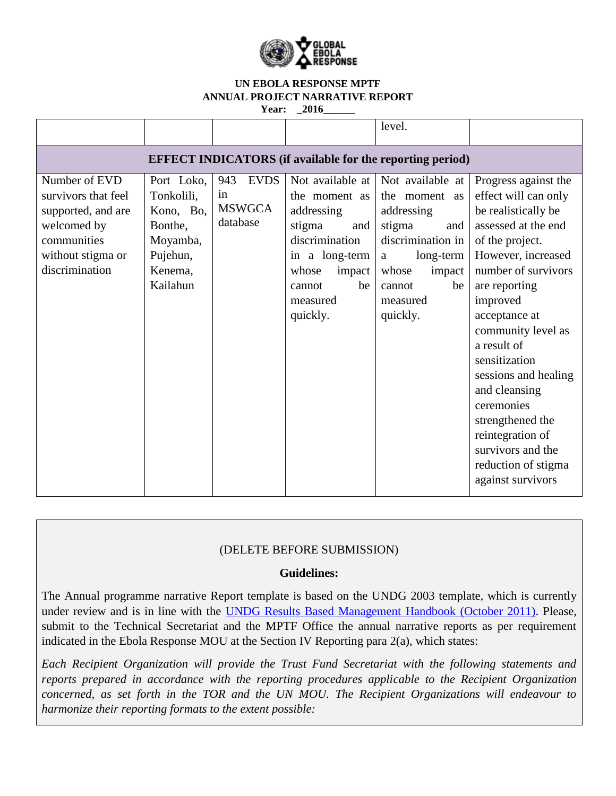

|                                                                                                                                 |                                                                                                 |                                                       |                                                                                                                                                                 | level.                                                                                                                                                                        |                                                                                                                                                                                                                                                                                                                                                                                                                                |  |
|---------------------------------------------------------------------------------------------------------------------------------|-------------------------------------------------------------------------------------------------|-------------------------------------------------------|-----------------------------------------------------------------------------------------------------------------------------------------------------------------|-------------------------------------------------------------------------------------------------------------------------------------------------------------------------------|--------------------------------------------------------------------------------------------------------------------------------------------------------------------------------------------------------------------------------------------------------------------------------------------------------------------------------------------------------------------------------------------------------------------------------|--|
| <b>EFFECT INDICATORS</b> (if available for the reporting period)                                                                |                                                                                                 |                                                       |                                                                                                                                                                 |                                                                                                                                                                               |                                                                                                                                                                                                                                                                                                                                                                                                                                |  |
| Number of EVD<br>survivors that feel<br>supported, and are<br>welcomed by<br>communities<br>without stigma or<br>discrimination | Port Loko,<br>Tonkolili,<br>Kono, Bo,<br>Bonthe,<br>Moyamba,<br>Pujehun,<br>Kenema,<br>Kailahun | <b>EVDS</b><br>943<br>in<br><b>MSWGCA</b><br>database | Not available at<br>the moment as<br>addressing<br>stigma<br>and<br>discrimination<br>in a long-term<br>whose<br>impact<br>be<br>cannot<br>measured<br>quickly. | Not available at<br>the moment as<br>addressing<br>stigma<br>and<br>discrimination in<br>long-term<br>$\mathbf{a}$<br>whose<br>impact<br>be<br>cannot<br>measured<br>quickly. | Progress against the<br>effect will can only<br>be realistically be<br>assessed at the end<br>of the project.<br>However, increased<br>number of survivors<br>are reporting<br>improved<br>acceptance at<br>community level as<br>a result of<br>sensitization<br>sessions and healing<br>and cleansing<br>ceremonies<br>strengthened the<br>reintegration of<br>survivors and the<br>reduction of stigma<br>against survivors |  |

# (DELETE BEFORE SUBMISSION)

#### **Guidelines:**

The Annual programme narrative Report template is based on the UNDG 2003 template, which is currently under review and is in line with the [UNDG Results Based Management Handbook \(October 2011\).](../../../../AppData/Local/Microsoft/AppData/Local/Microsoft/AppData/Local/Microsoft/AppData/Local/Microsoft/Windows/INetCache/AppData/Local/Microsoft/Windows/INetCache/Content.Outlook/AppData/Local/Microsoft/Windows/INetCache/Content.Outlook/DP4TIT2K/AppData/Local/Microsoft/Windows/Temporary%20Internet%20Files/AppData/Local/Microsoft/AppData/Local/Microsoft/Windows/Temporary%20Internet%20Files/Content.Outlook/AppData/Local/Microsoft/Windows/Temporary%20Internet%20Files/Content.Outlook/EPG6TJ9O/):%20%20http:/www.undg.org/docs/12316/UNDG-RBM%20Handbook-2012.pdf) Please, submit to the Technical Secretariat and the MPTF Office the annual narrative reports as per requirement indicated in the Ebola Response MOU at the Section IV Reporting para 2(a), which states:

*Each Recipient Organization will provide the Trust Fund Secretariat with the following statements and reports prepared in accordance with the reporting procedures applicable to the Recipient Organization concerned, as set forth in the TOR and the UN MOU. The Recipient Organizations will endeavour to harmonize their reporting formats to the extent possible:*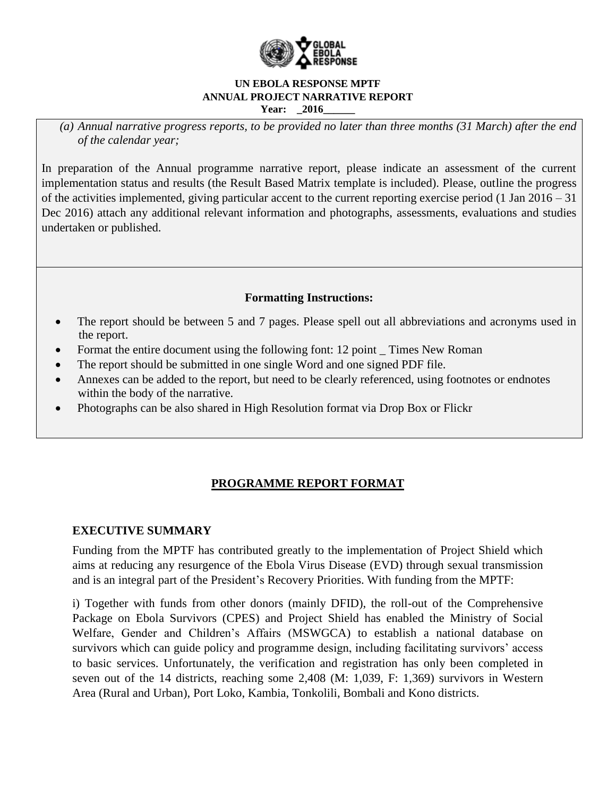

*(a) Annual narrative progress reports, to be provided no later than three months (31 March) after the end of the calendar year;*

In preparation of the Annual programme narrative report, please indicate an assessment of the current implementation status and results (the Result Based Matrix template is included). Please, outline the progress of the activities implemented, giving particular accent to the current reporting exercise period (1 Jan 2016 – 31 Dec 2016) attach any additional relevant information and photographs, assessments, evaluations and studies undertaken or published.

# **Formatting Instructions:**

- The report should be between 5 and 7 pages. Please spell out all abbreviations and acronyms used in the report.
- Format the entire document using the following font: 12 point \_ Times New Roman
- The report should be submitted in one single Word and one signed PDF file.
- Annexes can be added to the report, but need to be clearly referenced, using footnotes or endnotes within the body of the narrative.
- Photographs can be also shared in High Resolution format via Drop Box or Flickr

# **PROGRAMME REPORT FORMAT**

# **EXECUTIVE SUMMARY**

Funding from the MPTF has contributed greatly to the implementation of Project Shield which aims at reducing any resurgence of the Ebola Virus Disease (EVD) through sexual transmission and is an integral part of the President's Recovery Priorities. With funding from the MPTF:

i) Together with funds from other donors (mainly DFID), the roll-out of the Comprehensive Package on Ebola Survivors (CPES) and Project Shield has enabled the Ministry of Social Welfare, Gender and Children's Affairs (MSWGCA) to establish a national database on survivors which can guide policy and programme design, including facilitating survivors' access to basic services. Unfortunately, the verification and registration has only been completed in seven out of the 14 districts, reaching some 2,408 (M: 1,039, F: 1,369) survivors in Western Area (Rural and Urban), Port Loko, Kambia, Tonkolili, Bombali and Kono districts.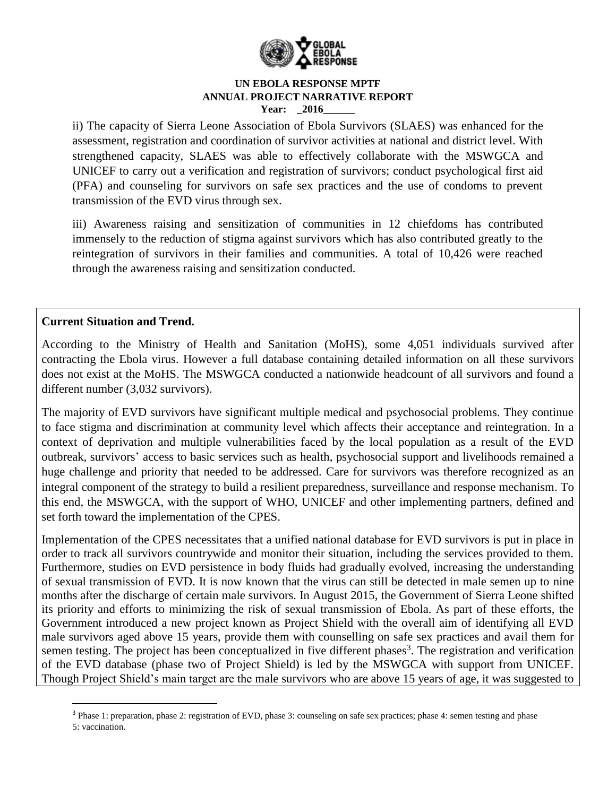

ii) The capacity of Sierra Leone Association of Ebola Survivors (SLAES) was enhanced for the assessment, registration and coordination of survivor activities at national and district level. With strengthened capacity, SLAES was able to effectively collaborate with the MSWGCA and UNICEF to carry out a verification and registration of survivors; conduct psychological first aid (PFA) and counseling for survivors on safe sex practices and the use of condoms to prevent transmission of the EVD virus through sex.

iii) Awareness raising and sensitization of communities in 12 chiefdoms has contributed immensely to the reduction of stigma against survivors which has also contributed greatly to the reintegration of survivors in their families and communities. A total of 10,426 were reached through the awareness raising and sensitization conducted.

## **Current Situation and Trend.**

 $\overline{\phantom{a}}$ 

According to the Ministry of Health and Sanitation (MoHS), some 4,051 individuals survived after contracting the Ebola virus. However a full database containing detailed information on all these survivors does not exist at the MoHS. The MSWGCA conducted a nationwide headcount of all survivors and found a different number (3,032 survivors).

The majority of EVD survivors have significant multiple medical and psychosocial problems. They continue to face stigma and discrimination at community level which affects their acceptance and reintegration. In a context of deprivation and multiple vulnerabilities faced by the local population as a result of the EVD outbreak, survivors' access to basic services such as health, psychosocial support and livelihoods remained a huge challenge and priority that needed to be addressed. Care for survivors was therefore recognized as an integral component of the strategy to build a resilient preparedness, surveillance and response mechanism. To this end, the MSWGCA, with the support of WHO, UNICEF and other implementing partners, defined and set forth toward the implementation of the CPES.

Implementation of the CPES necessitates that a unified national database for EVD survivors is put in place in order to track all survivors countrywide and monitor their situation, including the services provided to them. Furthermore, studies on EVD persistence in body fluids had gradually evolved, increasing the understanding of sexual transmission of EVD. It is now known that the virus can still be detected in male semen up to nine months after the discharge of certain male survivors. In August 2015, the Government of Sierra Leone shifted its priority and efforts to minimizing the risk of sexual transmission of Ebola. As part of these efforts, the Government introduced a new project known as Project Shield with the overall aim of identifying all EVD male survivors aged above 15 years, provide them with counselling on safe sex practices and avail them for semen testing. The project has been conceptualized in five different phases<sup>3</sup>. The registration and verification of the EVD database (phase two of Project Shield) is led by the MSWGCA with support from UNICEF. Though Project Shield's main target are the male survivors who are above 15 years of age, it was suggested to

<sup>3</sup> Phase 1: preparation, phase 2: registration of EVD, phase 3: counseling on safe sex practices; phase 4: semen testing and phase 5: vaccination.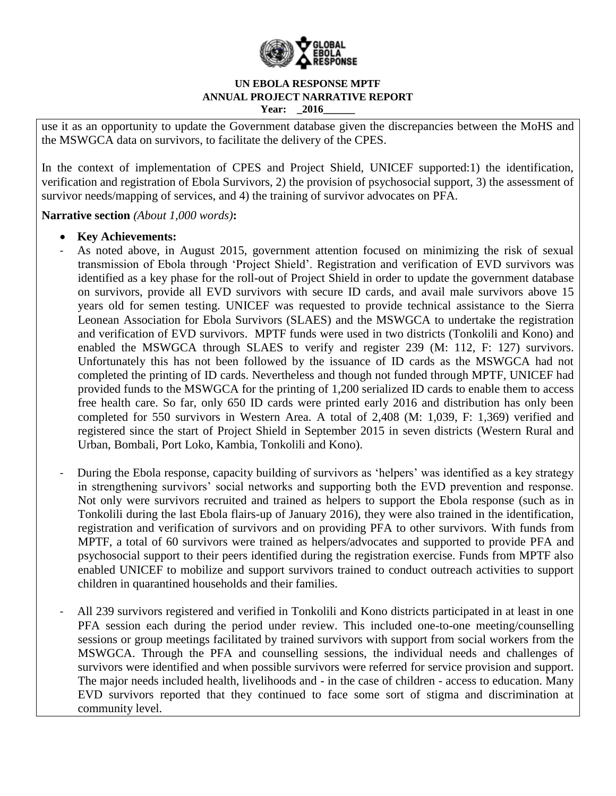

use it as an opportunity to update the Government database given the discrepancies between the MoHS and the MSWGCA data on survivors, to facilitate the delivery of the CPES.

In the context of implementation of CPES and Project Shield, UNICEF supported:1) the identification, verification and registration of Ebola Survivors, 2) the provision of psychosocial support, 3) the assessment of survivor needs/mapping of services, and 4) the training of survivor advocates on PFA.

**Narrative section** *(About 1,000 words)***:**

## **Key Achievements:**

- As noted above, in August 2015, government attention focused on minimizing the risk of sexual transmission of Ebola through 'Project Shield'. Registration and verification of EVD survivors was identified as a key phase for the roll-out of Project Shield in order to update the government database on survivors, provide all EVD survivors with secure ID cards, and avail male survivors above 15 years old for semen testing. UNICEF was requested to provide technical assistance to the Sierra Leonean Association for Ebola Survivors (SLAES) and the MSWGCA to undertake the registration and verification of EVD survivors. MPTF funds were used in two districts (Tonkolili and Kono) and enabled the MSWGCA through SLAES to verify and register 239 (M: 112, F: 127) survivors. Unfortunately this has not been followed by the issuance of ID cards as the MSWGCA had not completed the printing of ID cards. Nevertheless and though not funded through MPTF, UNICEF had provided funds to the MSWGCA for the printing of 1,200 serialized ID cards to enable them to access free health care. So far, only 650 ID cards were printed early 2016 and distribution has only been completed for 550 survivors in Western Area. A total of 2,408 (M: 1,039, F: 1,369) verified and registered since the start of Project Shield in September 2015 in seven districts (Western Rural and Urban, Bombali, Port Loko, Kambia, Tonkolili and Kono).
- During the Ebola response, capacity building of survivors as 'helpers' was identified as a key strategy in strengthening survivors' social networks and supporting both the EVD prevention and response. Not only were survivors recruited and trained as helpers to support the Ebola response (such as in Tonkolili during the last Ebola flairs-up of January 2016), they were also trained in the identification, registration and verification of survivors and on providing PFA to other survivors. With funds from MPTF, a total of 60 survivors were trained as helpers/advocates and supported to provide PFA and psychosocial support to their peers identified during the registration exercise. Funds from MPTF also enabled UNICEF to mobilize and support survivors trained to conduct outreach activities to support children in quarantined households and their families.
- All 239 survivors registered and verified in Tonkolili and Kono districts participated in at least in one PFA session each during the period under review. This included one-to-one meeting/counselling sessions or group meetings facilitated by trained survivors with support from social workers from the MSWGCA. Through the PFA and counselling sessions, the individual needs and challenges of survivors were identified and when possible survivors were referred for service provision and support. The major needs included health, livelihoods and - in the case of children - access to education. Many EVD survivors reported that they continued to face some sort of stigma and discrimination at community level.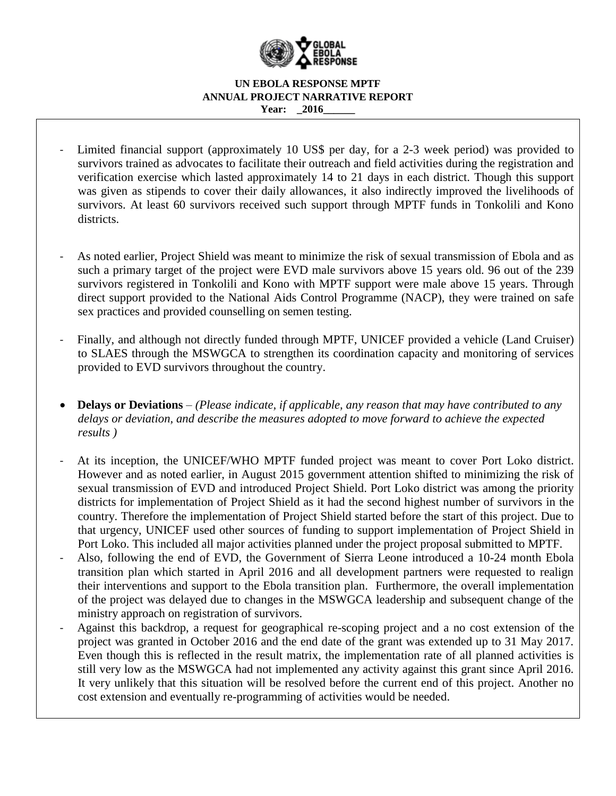

- Limited financial support (approximately 10 US\$ per day, for a 2-3 week period) was provided to survivors trained as advocates to facilitate their outreach and field activities during the registration and verification exercise which lasted approximately 14 to 21 days in each district. Though this support was given as stipends to cover their daily allowances, it also indirectly improved the livelihoods of survivors. At least 60 survivors received such support through MPTF funds in Tonkolili and Kono districts.
- As noted earlier, Project Shield was meant to minimize the risk of sexual transmission of Ebola and as such a primary target of the project were EVD male survivors above 15 years old. 96 out of the 239 survivors registered in Tonkolili and Kono with MPTF support were male above 15 years. Through direct support provided to the National Aids Control Programme (NACP), they were trained on safe sex practices and provided counselling on semen testing.
- Finally, and although not directly funded through MPTF, UNICEF provided a vehicle (Land Cruiser) to SLAES through the MSWGCA to strengthen its coordination capacity and monitoring of services provided to EVD survivors throughout the country.
- **Delays or Deviations** *– (Please indicate, if applicable, any reason that may have contributed to any delays or deviation, and describe the measures adopted to move forward to achieve the expected results )*
- At its inception, the UNICEF/WHO MPTF funded project was meant to cover Port Loko district. However and as noted earlier, in August 2015 government attention shifted to minimizing the risk of sexual transmission of EVD and introduced Project Shield. Port Loko district was among the priority districts for implementation of Project Shield as it had the second highest number of survivors in the country. Therefore the implementation of Project Shield started before the start of this project. Due to that urgency, UNICEF used other sources of funding to support implementation of Project Shield in Port Loko. This included all major activities planned under the project proposal submitted to MPTF.
- Also, following the end of EVD, the Government of Sierra Leone introduced a 10-24 month Ebola transition plan which started in April 2016 and all development partners were requested to realign their interventions and support to the Ebola transition plan. Furthermore, the overall implementation of the project was delayed due to changes in the MSWGCA leadership and subsequent change of the ministry approach on registration of survivors.
- Against this backdrop, a request for geographical re-scoping project and a no cost extension of the project was granted in October 2016 and the end date of the grant was extended up to 31 May 2017. Even though this is reflected in the result matrix, the implementation rate of all planned activities is still very low as the MSWGCA had not implemented any activity against this grant since April 2016. It very unlikely that this situation will be resolved before the current end of this project. Another no cost extension and eventually re-programming of activities would be needed.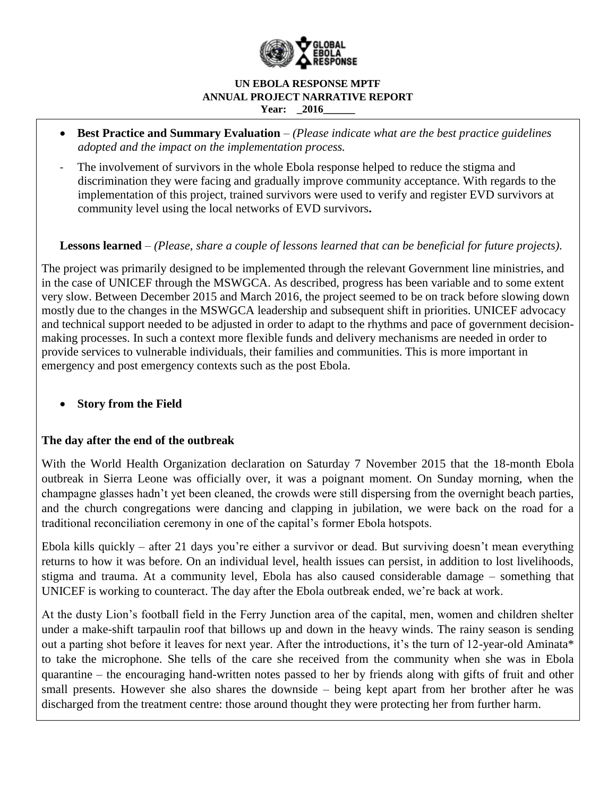

- **Best Practice and Summary Evaluation** *– (Please indicate what are the best practice guidelines adopted and the impact on the implementation process.*
- The involvement of survivors in the whole Ebola response helped to reduce the stigma and discrimination they were facing and gradually improve community acceptance. With regards to the implementation of this project, trained survivors were used to verify and register EVD survivors at community level using the local networks of EVD survivors**.**

# **Lessons learned** *– (Please, share a couple of lessons learned that can be beneficial for future projects).*

The project was primarily designed to be implemented through the relevant Government line ministries, and in the case of UNICEF through the MSWGCA. As described, progress has been variable and to some extent very slow. Between December 2015 and March 2016, the project seemed to be on track before slowing down mostly due to the changes in the MSWGCA leadership and subsequent shift in priorities. UNICEF advocacy and technical support needed to be adjusted in order to adapt to the rhythms and pace of government decisionmaking processes. In such a context more flexible funds and delivery mechanisms are needed in order to provide services to vulnerable individuals, their families and communities. This is more important in emergency and post emergency contexts such as the post Ebola.

**Story from the Field** 

# **The day after the end of the outbreak**

With the World Health Organization declaration on Saturday 7 November 2015 that the 18-month Ebola outbreak in Sierra Leone was officially over, it was a poignant moment. On Sunday morning, when the champagne glasses hadn't yet been cleaned, the crowds were still dispersing from the overnight beach parties, and the church congregations were dancing and clapping in jubilation, we were back on the road for a traditional reconciliation ceremony in one of the capital's former Ebola hotspots.

Ebola kills quickly – after 21 days you're either a survivor or dead. But surviving doesn't mean everything returns to how it was before. On an individual level, health issues can persist, in addition to lost livelihoods, stigma and trauma. At a community level, Ebola has also caused considerable damage – something that UNICEF is working to counteract. The day after the Ebola outbreak ended, we're back at work.

At the dusty Lion's football field in the Ferry Junction area of the capital, men, women and children shelter under a make-shift tarpaulin roof that billows up and down in the heavy winds. The rainy season is sending out a parting shot before it leaves for next year. After the introductions, it's the turn of 12-year-old Aminata\* to take the microphone. She tells of the care she received from the community when she was in Ebola quarantine – the encouraging hand-written notes passed to her by friends along with gifts of fruit and other small presents. However she also shares the downside – being kept apart from her brother after he was discharged from the treatment centre: those around thought they were protecting her from further harm.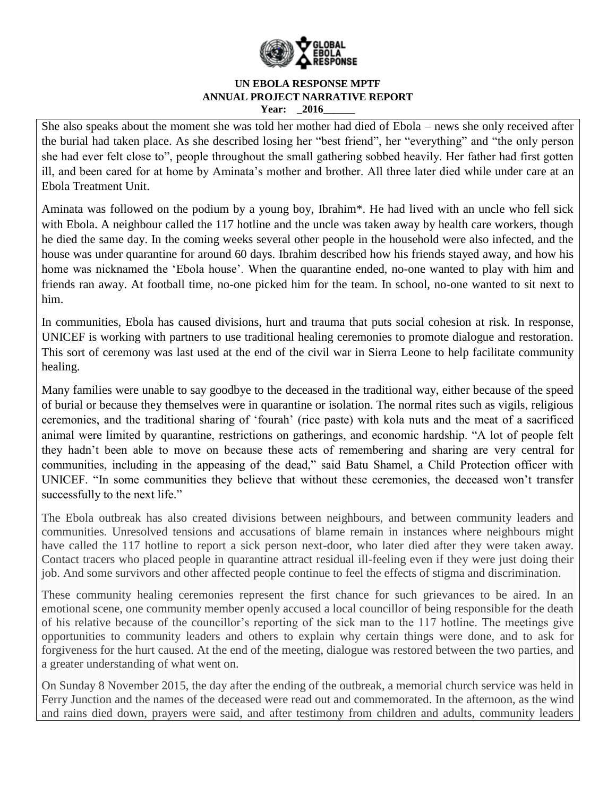

She also speaks about the moment she was told her mother had died of Ebola – news she only received after the burial had taken place. As she described losing her "best friend", her "everything" and "the only person she had ever felt close to", people throughout the small gathering sobbed heavily. Her father had first gotten ill, and been cared for at home by Aminata's mother and brother. All three later died while under care at an Ebola Treatment Unit.

Aminata was followed on the podium by a young boy, Ibrahim\*. He had lived with an uncle who fell sick with Ebola. A neighbour called the 117 hotline and the uncle was taken away by health care workers, though he died the same day. In the coming weeks several other people in the household were also infected, and the house was under quarantine for around 60 days. Ibrahim described how his friends stayed away, and how his home was nicknamed the 'Ebola house'. When the quarantine ended, no-one wanted to play with him and friends ran away. At football time, no-one picked him for the team. In school, no-one wanted to sit next to him.

In communities, Ebola has caused divisions, hurt and trauma that puts social cohesion at risk. In response, UNICEF is working with partners to use traditional healing ceremonies to promote dialogue and restoration. This sort of ceremony was last used at the end of the civil war in Sierra Leone to help facilitate community healing.

Many families were unable to say goodbye to the deceased in the traditional way, either because of the speed of burial or because they themselves were in quarantine or isolation. The normal rites such as vigils, religious ceremonies, and the traditional sharing of 'fourah' (rice paste) with kola nuts and the meat of a sacrificed animal were limited by quarantine, restrictions on gatherings, and economic hardship. "A lot of people felt they hadn't been able to move on because these acts of remembering and sharing are very central for communities, including in the appeasing of the dead," said Batu Shamel, a Child Protection officer with UNICEF. "In some communities they believe that without these ceremonies, the deceased won't transfer successfully to the next life."

The Ebola outbreak has also created divisions between neighbours, and between community leaders and communities. Unresolved tensions and accusations of blame remain in instances where neighbours might have called the 117 hotline to report a sick person next-door, who later died after they were taken away. Contact tracers who placed people in quarantine attract residual ill-feeling even if they were just doing their job. And some survivors and other affected people continue to feel the effects of stigma and discrimination.

These community healing ceremonies represent the first chance for such grievances to be aired. In an emotional scene, one community member openly accused a local councillor of being responsible for the death of his relative because of the councillor's reporting of the sick man to the 117 hotline. The meetings give opportunities to community leaders and others to explain why certain things were done, and to ask for forgiveness for the hurt caused. At the end of the meeting, dialogue was restored between the two parties, and a greater understanding of what went on.

On Sunday 8 November 2015, the day after the ending of the outbreak, a memorial church service was held in Ferry Junction and the names of the deceased were read out and commemorated. In the afternoon, as the wind and rains died down, prayers were said, and after testimony from children and adults, community leaders